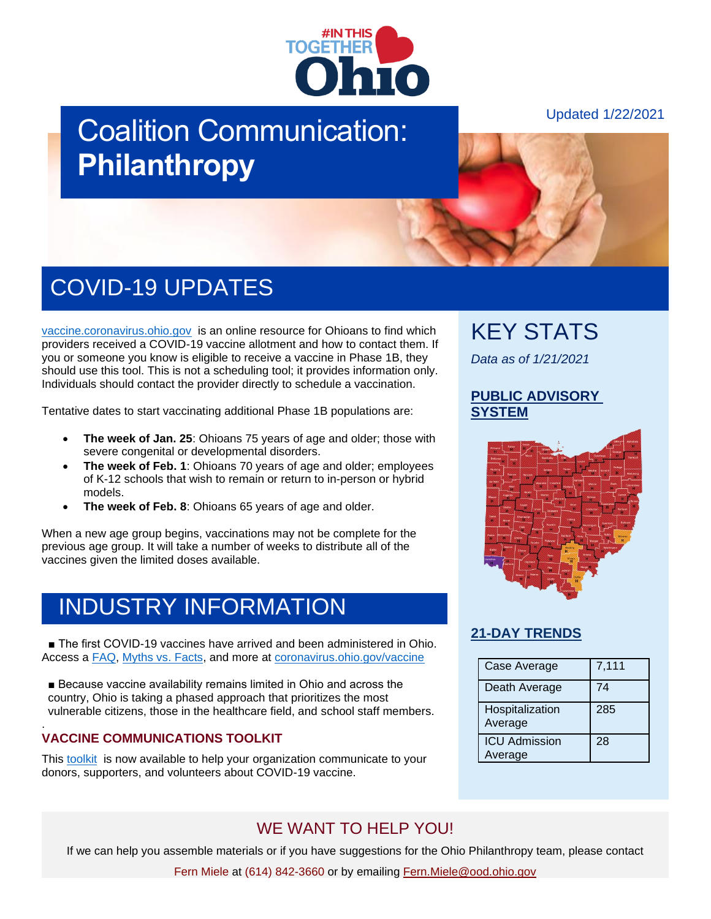

# Coalition Communication: **Philanthropy**

Updated 1/22/2021

# COVID-19 UPDATES

[vaccine.coronavirus.ohio.gov](https://vaccine.coronavirus.ohio.gov/) is an online resource for Ohioans to find which providers received a COVID-19 vaccine allotment and how to contact them. If you or someone you know is eligible to receive a vaccine in Phase 1B, they should use this tool. This is not a scheduling tool; it provides information only. Individuals should contact the provider directly to schedule a vaccination.

Tentative dates to start vaccinating additional Phase 1B populations are:

- **The week of Jan. 25**: Ohioans 75 years of age and older; those with severe congenital or developmental disorders.
- **The week of Feb. 1**: Ohioans 70 years of age and older; employees of K-12 schools that wish to remain or return to in-person or hybrid models.
- **The week of Feb. 8**: Ohioans 65 years of age and older.

When a new age group begins, vaccinations may not be complete for the previous age group. It will take a number of weeks to distribute all of the vaccines given the limited doses available.

### INDUSTRY INFORMATION

■ The first COVID-19 vaccines have arrived and been administered in Ohio. Access a [FAQ,](https://coronavirus.ohio.gov/wps/portal/gov/covid-19/resources/general-resources/frequently-asked-questions+covid-19-vaccine) [Myths vs. Facts,](https://coronavirus.ohio.gov/wps/portal/gov/covid-19/covid-19-vaccination-program/19-vaccine-myths-vs-facts/19-vaccine-myths-vs-facts) and more at [coronavirus.ohio.gov/vaccine](https://coronavirus.ohio.gov/wps/portal/gov/covid-19/covid-19-vaccination-program/welcome/covid-19-vaccination-program)

■ Because vaccine availability remains limited in Ohio and across the country, Ohio is taking a phased approach that prioritizes the most vulnerable citizens, those in the healthcare field, and school staff members.

#### . **VACCINE COMMUNICATIONS TOOLKIT**

This [toolkit](https://odh.ohio.gov/static/covid19/vaccine-providers/communications_toolkit.pdf) is now available to help your organization communicate to your donors, supporters, and volunteers about COVID-19 vaccine.

### KEY STATS

*Data as of 1/21/2021*

#### **[PUBLIC ADVISORY](https://coronavirus.ohio.gov/wps/portal/gov/covid-19/public-health-advisory-system)  [SYSTEM](https://coronavirus.ohio.gov/wps/portal/gov/covid-19/public-health-advisory-system)**



#### **[21-DAY TRENDS](https://coronavirus.ohio.gov/wps/portal/gov/covid-19/dashboards/current-trends)**

| Case Average                    | 7,111 |
|---------------------------------|-------|
| Death Average                   | 74    |
| Hospitalization<br>Average      | 285   |
| <b>ICU Admission</b><br>Average | 28    |

### WE WANT TO HELP YOU!

If we can help you assemble materials or if you have suggestions for the Ohio Philanthropy team, please contact

Fern Miele at (614) 842-3660 or by emailing [Fern.Miele@ood.ohio.gov](mailto:Fern.Miele@ood.ohio.gov)